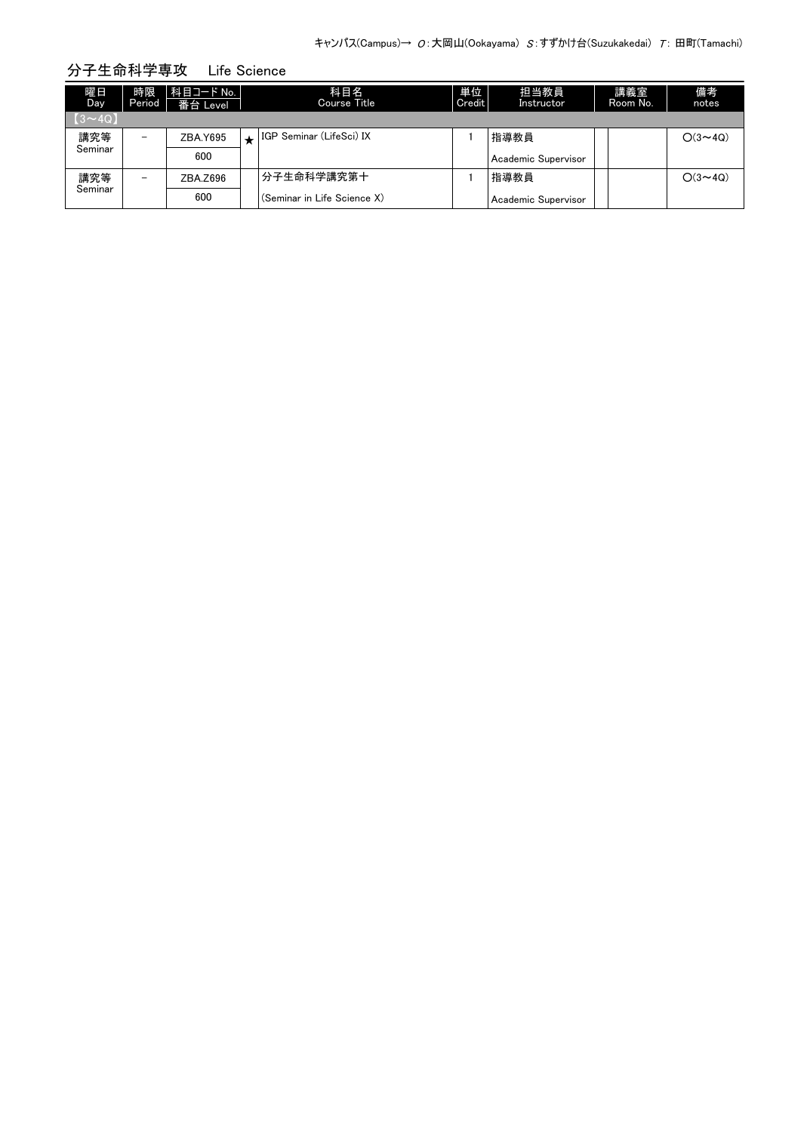| 曜日<br>Day     | 時限<br>Period             | 科目コード No.<br>番台 Level | 科目名<br><b>Course Title</b>  | 単位<br>Credit | 担当教員<br>Instructor  | 講義室<br>Room No. | 備考<br>notes    |
|---------------|--------------------------|-----------------------|-----------------------------|--------------|---------------------|-----------------|----------------|
| $[3 \sim 4Q]$ |                          |                       |                             |              |                     |                 |                |
| 講究等           | $\overline{\phantom{0}}$ | ZBA.Y695              | IGP Seminar (LifeSci) IX    |              | 指導教員                |                 | $O(3 \sim 4Q)$ |
| Seminar       |                          | 600                   |                             |              | Academic Supervisor |                 |                |
| 講究等           | $\overline{\phantom{0}}$ | ZBA.Z696              | 分子生命科学講究第十                  |              | 指導教員                |                 | $O(3 \sim 4Q)$ |
| Seminar       |                          | 600                   | (Seminar in Life Science X) |              | Academic Supervisor |                 |                |

## 分子生命科学専攻 Life Science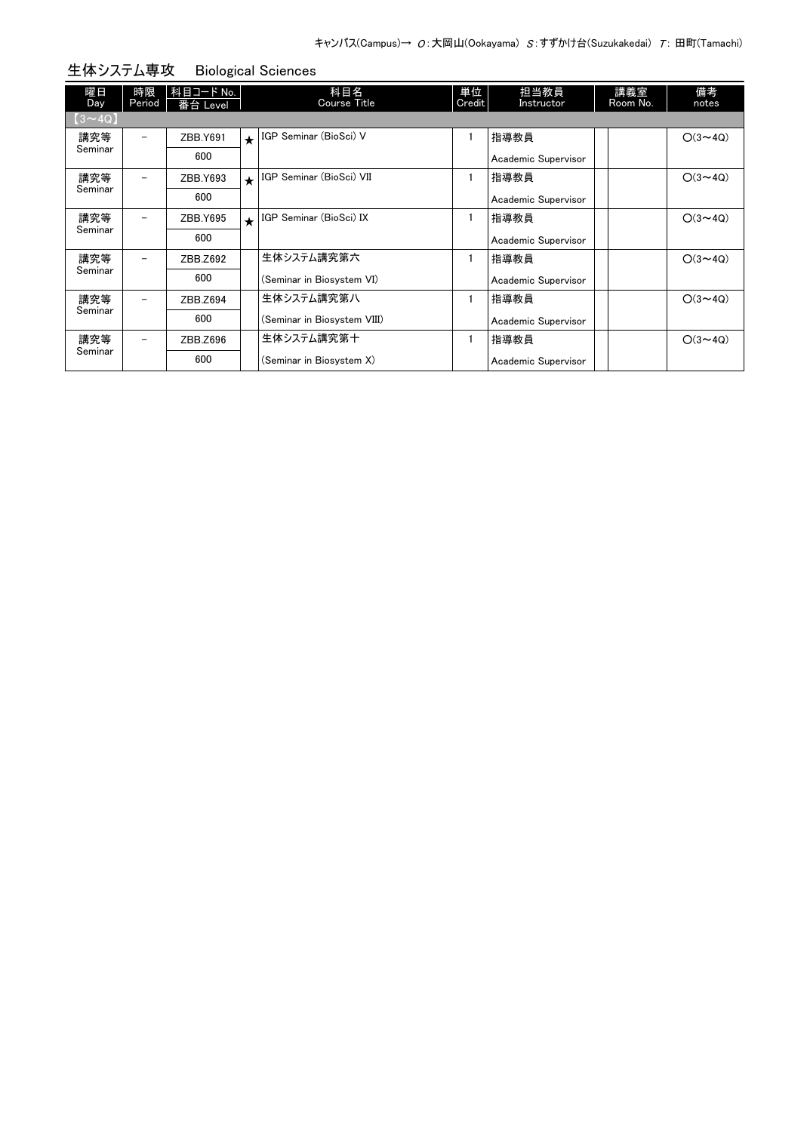| 躍日<br>Day      | 時限<br>Period | 科目コード No.<br>番台 Level |         | 科目名<br><b>Course Title</b>  | 単位<br>Credit | 担当教員<br>Instructor  | 講義室<br>Room No. | 備考<br>notes    |
|----------------|--------------|-----------------------|---------|-----------------------------|--------------|---------------------|-----------------|----------------|
| $(3 \sim 4Q)$  |              |                       |         |                             |              |                     |                 |                |
| 講究等            | -            | ZBB.Y691              | $\star$ | IGP Seminar (BioSci) V      |              | 指導教員                |                 | $O(3 \sim 4Q)$ |
| Seminar        |              | 600                   |         |                             |              | Academic Supervisor |                 |                |
| 講究等            | -            | ZBB.Y693              | $\star$ | IGP Seminar (BioSci) VII    |              | 指導教員                |                 | $O(3 \sim 4Q)$ |
| Seminar        |              | 600                   |         |                             |              | Academic Supervisor |                 |                |
| 講究等<br>Seminar | -            | ZBB.Y695              | $\star$ | IGP Seminar (BioSci) IX     |              | 指導教員                |                 | $O(3 \sim 4Q)$ |
|                |              | 600                   |         |                             |              | Academic Supervisor |                 |                |
| 講究等<br>Seminar | -            | ZBB.Z692              |         | 生体システム講究第六                  |              | 指導教員                |                 | $O(3 \sim 4Q)$ |
|                |              | 600                   |         | (Seminar in Biosystem VI)   |              | Academic Supervisor |                 |                |
| 講究等            | -            | ZBB.Z694              |         | 生体システム講究第八                  |              | 指導教員                |                 | $O(3 \sim 4Q)$ |
| Seminar        |              | 600                   |         | (Seminar in Biosystem VIII) |              | Academic Supervisor |                 |                |
| 講究等            | -            | ZBB.Z696              |         | 生体システム講究第十                  |              | 指導教員                |                 | $O(3 \sim 4Q)$ |
| Seminar        |              | 600                   |         | (Seminar in Biosystem X)    |              | Academic Supervisor |                 |                |

## 生体システム専攻 Biological Sciences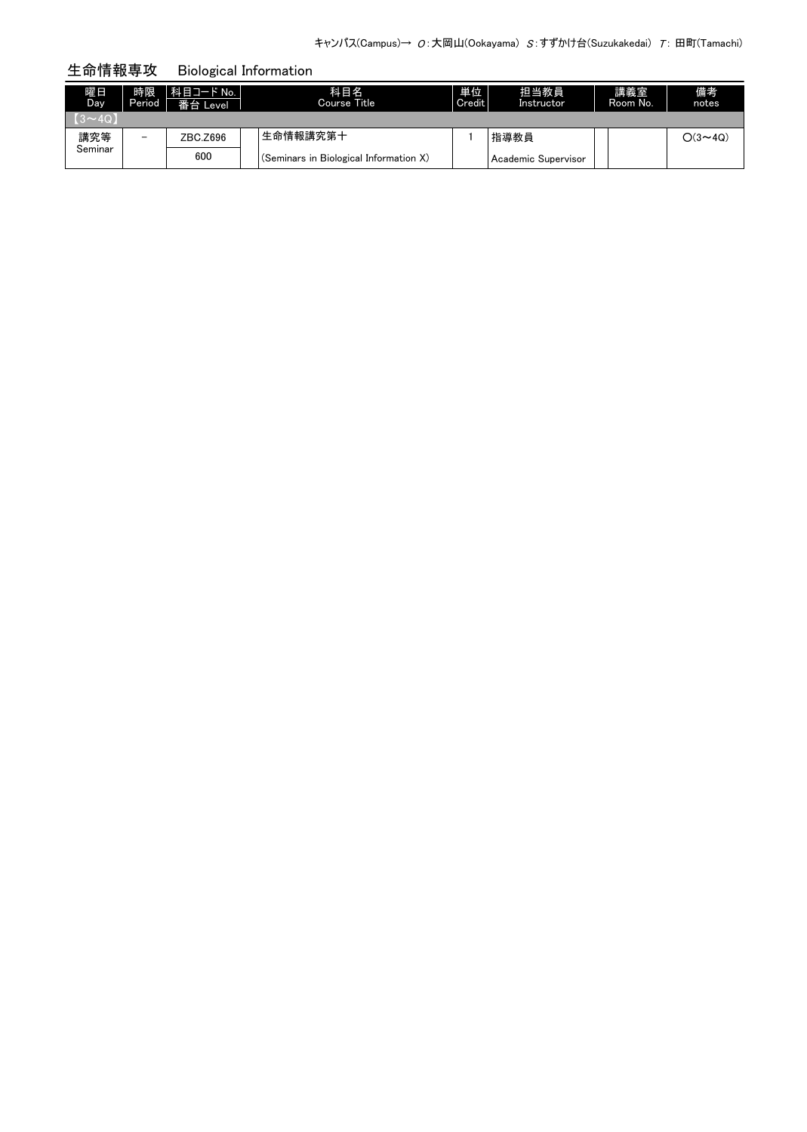生命情報専攻 Biological Information

| 曜日<br>Day      | 時限<br>Period | │ 科目コード No.<br>番台 Level | 科目名<br>Course Title                    | 単位<br>Credit | 担当教員<br>Instructor  | 講義室<br>Room No. | 備考<br>notes    |
|----------------|--------------|-------------------------|----------------------------------------|--------------|---------------------|-----------------|----------------|
| $(3 \sim 4Q)$  |              |                         |                                        |              |                     |                 |                |
| 講究等<br>Seminar | -            | ZBC.Z696                | 生命情報講究第十                               |              | 指導教員                |                 | $O(3 \sim 4Q)$ |
|                |              | 600                     | (Seminars in Biological Information X) |              | Academic Supervisor |                 |                |